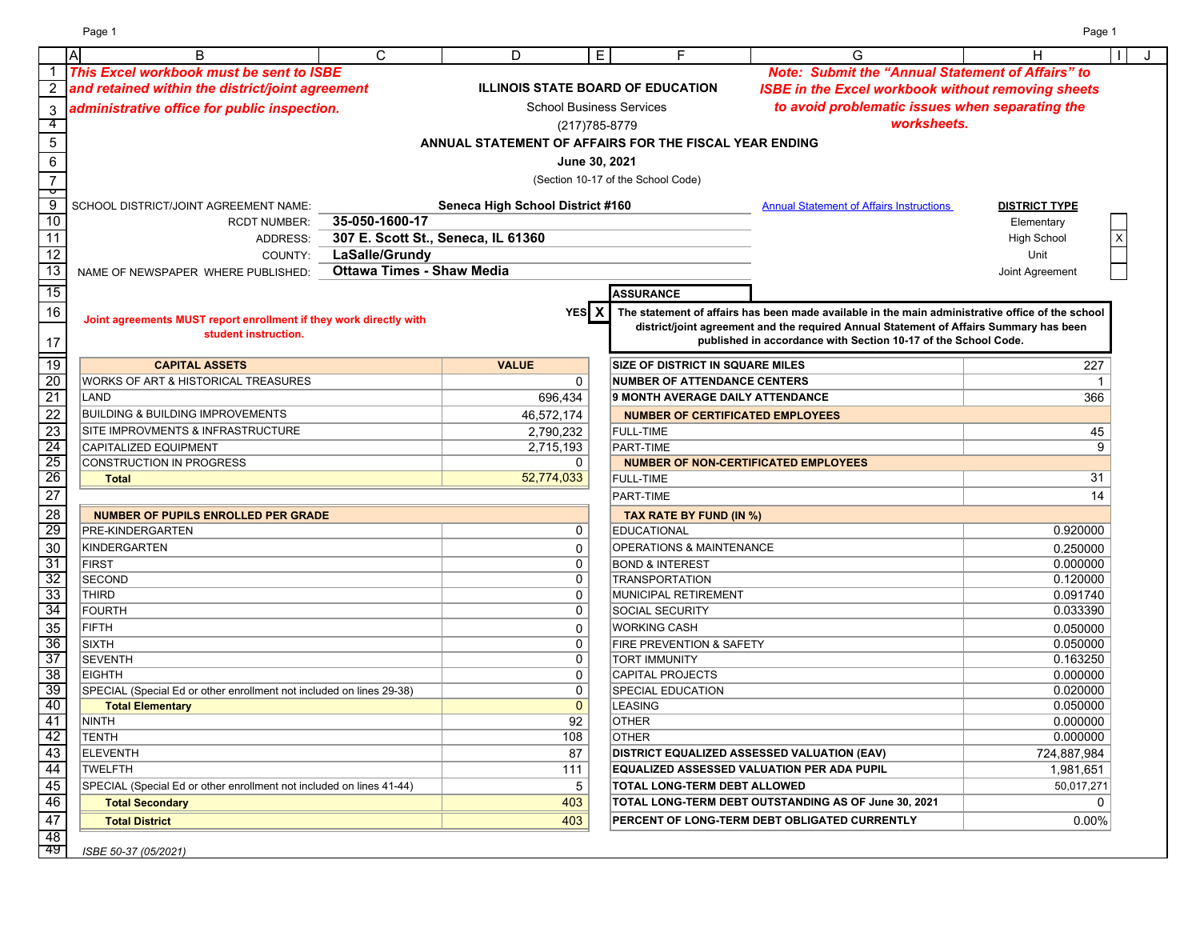Page 1 Page 1

|                 | $\overline{A}$<br>B                                                  | C                                  | D                                | E                               | F                                                      | G                                                                                                                                                        | Н                    | J |
|-----------------|----------------------------------------------------------------------|------------------------------------|----------------------------------|---------------------------------|--------------------------------------------------------|----------------------------------------------------------------------------------------------------------------------------------------------------------|----------------------|---|
|                 | This Excel workbook must be sent to ISBE                             |                                    |                                  |                                 |                                                        | <b>Note: Submit the "Annual Statement of Affairs" to</b>                                                                                                 |                      |   |
|                 | and retained within the district/joint agreement                     |                                    |                                  |                                 | <b>ILLINOIS STATE BOARD OF EDUCATION</b>               | <b>ISBE in the Excel workbook without removing sheets</b>                                                                                                |                      |   |
| $\mathbf{3}$    | administrative office for public inspection.                         |                                    |                                  | <b>School Business Services</b> |                                                        | to avoid problematic issues when separating the                                                                                                          |                      |   |
| -4              |                                                                      |                                    |                                  | (217) 785-8779                  |                                                        | worksheets.                                                                                                                                              |                      |   |
| $\sqrt{5}$      |                                                                      |                                    |                                  |                                 | ANNUAL STATEMENT OF AFFAIRS FOR THE FISCAL YEAR ENDING |                                                                                                                                                          |                      |   |
|                 |                                                                      |                                    |                                  |                                 |                                                        |                                                                                                                                                          |                      |   |
| $\,6$           |                                                                      |                                    |                                  | June 30, 2021                   |                                                        |                                                                                                                                                          |                      |   |
| $\overline{7}$  |                                                                      |                                    |                                  |                                 | (Section 10-17 of the School Code)                     |                                                                                                                                                          |                      |   |
| þ<br>9          | SCHOOL DISTRICT/JOINT AGREEMENT NAME:                                |                                    | Seneca High School District #160 |                                 |                                                        | <b>Annual Statement of Affairs Instructions</b>                                                                                                          | <b>DISTRICT TYPE</b> |   |
| 10              | <b>RCDT NUMBER:</b>                                                  | 35-050-1600-17                     |                                  |                                 |                                                        |                                                                                                                                                          | Elementary           |   |
| 11              | ADDRESS:                                                             | 307 E. Scott St., Seneca, IL 61360 |                                  |                                 |                                                        |                                                                                                                                                          | <b>High School</b>   |   |
| $\overline{12}$ | COUNTY:                                                              | LaSalle/Grundy                     |                                  |                                 |                                                        |                                                                                                                                                          | Unit                 |   |
| 13              | NAME OF NEWSPAPER WHERE PUBLISHED:                                   | <b>Ottawa Times - Shaw Media</b>   |                                  |                                 |                                                        |                                                                                                                                                          | Joint Agreement      |   |
| $\overline{15}$ |                                                                      |                                    |                                  |                                 |                                                        |                                                                                                                                                          |                      |   |
|                 |                                                                      |                                    |                                  |                                 | <b>ASSURANCE</b>                                       |                                                                                                                                                          |                      |   |
| 16              | Joint agreements MUST report enrollment if they work directly with   |                                    |                                  | YES <sup>X</sup>                |                                                        | The statement of affairs has been made available in the main administrative office of the school                                                         |                      |   |
|                 | student instruction.                                                 |                                    |                                  |                                 |                                                        | district/joint agreement and the required Annual Statement of Affairs Summary has been<br>published in accordance with Section 10-17 of the School Code. |                      |   |
| 17              |                                                                      |                                    |                                  |                                 |                                                        |                                                                                                                                                          |                      |   |
| $\overline{19}$ | <b>CAPITAL ASSETS</b>                                                |                                    | <b>VALUE</b>                     |                                 | <b>SIZE OF DISTRICT IN SQUARE MILES</b>                |                                                                                                                                                          | 227                  |   |
| 20              | WORKS OF ART & HISTORICAL TREASURES                                  |                                    |                                  | 0                               | <b>NUMBER OF ATTENDANCE CENTERS</b>                    |                                                                                                                                                          | -1                   |   |
| $\overline{21}$ | LAND                                                                 |                                    |                                  | 696,434                         | <b>9 MONTH AVERAGE DAILY ATTENDANCE</b>                |                                                                                                                                                          | 366                  |   |
| $\overline{22}$ | <b>BUILDING &amp; BUILDING IMPROVEMENTS</b>                          |                                    |                                  | 46,572,174                      | <b>NUMBER OF CERTIFICATED EMPLOYEES</b>                |                                                                                                                                                          |                      |   |
| 23              | SITE IMPROVMENTS & INFRASTRUCTURE                                    |                                    |                                  | 2,790,232                       | <b>FULL-TIME</b>                                       |                                                                                                                                                          | 45                   |   |
| 24              | <b>CAPITALIZED EQUIPMENT</b>                                         |                                    |                                  | 2,715,193                       | PART-TIME                                              |                                                                                                                                                          | 9                    |   |
| 25              | CONSTRUCTION IN PROGRESS                                             |                                    |                                  | $\mathbf 0$                     | <b>NUMBER OF NON-CERTIFICATED EMPLOYEES</b>            |                                                                                                                                                          |                      |   |
| 26              | <b>Total</b>                                                         |                                    |                                  | 52,774,033                      | <b>FULL-TIME</b>                                       |                                                                                                                                                          | 31                   |   |
| $\overline{27}$ |                                                                      |                                    |                                  |                                 | PART-TIME                                              |                                                                                                                                                          | 14                   |   |
| 28              | <b>NUMBER OF PUPILS ENROLLED PER GRADE</b>                           |                                    |                                  |                                 | TAX RATE BY FUND (IN %)                                |                                                                                                                                                          |                      |   |
| 29              | PRE-KINDERGARTEN                                                     |                                    |                                  | 0                               | <b>EDUCATIONAL</b>                                     |                                                                                                                                                          | 0.920000             |   |
| 30              | KINDERGARTEN                                                         |                                    |                                  | 0                               | <b>OPERATIONS &amp; MAINTENANCE</b>                    |                                                                                                                                                          | 0.250000             |   |
| 31              | <b>FIRST</b>                                                         |                                    |                                  | $\mathbf 0$                     | <b>BOND &amp; INTEREST</b>                             |                                                                                                                                                          | 0.000000             |   |
| 32              | <b>SECOND</b>                                                        |                                    |                                  | $\mathbf 0$                     | <b>TRANSPORTATION</b>                                  |                                                                                                                                                          | 0.120000             |   |
| 33              | <b>THIRD</b>                                                         |                                    |                                  | 0                               | MUNICIPAL RETIREMENT                                   |                                                                                                                                                          | 0.091740             |   |
| 34              | <b>FOURTH</b>                                                        |                                    |                                  | 0                               | SOCIAL SECURITY                                        |                                                                                                                                                          | 0.033390             |   |
| 35              | <b>FIFTH</b>                                                         |                                    |                                  | 0                               | <b>WORKING CASH</b>                                    |                                                                                                                                                          | 0.050000             |   |
| 36              | <b>SIXTH</b>                                                         |                                    |                                  | 0                               | <b>FIRE PREVENTION &amp; SAFETY</b>                    |                                                                                                                                                          | 0.050000             |   |
| 37              | <b>SEVENTH</b>                                                       |                                    |                                  | $\mathbf 0$                     | <b>TORT IMMUNITY</b>                                   |                                                                                                                                                          | 0.163250             |   |
| 38              | <b>EIGHTH</b>                                                        |                                    |                                  | $\mathbf 0$                     | <b>CAPITAL PROJECTS</b>                                |                                                                                                                                                          | 0.000000             |   |
| 39              | SPECIAL (Special Ed or other enrollment not included on lines 29-38) |                                    |                                  | $\mathbf 0$                     | SPECIAL EDUCATION                                      |                                                                                                                                                          | 0.020000             |   |
| 40              | <b>Total Elementary</b>                                              |                                    |                                  | $\mathbf{0}$                    | <b>LEASING</b>                                         |                                                                                                                                                          | 0.050000             |   |
| 41              | <b>NINTH</b>                                                         |                                    |                                  | 92                              | <b>OTHER</b>                                           |                                                                                                                                                          | 0.000000             |   |
| 42              | <b>TENTH</b>                                                         |                                    |                                  | 108                             | <b>OTHER</b>                                           |                                                                                                                                                          | 0.000000             |   |
| 43              | <b>ELEVENTH</b>                                                      |                                    |                                  | 87                              |                                                        | <b>DISTRICT EQUALIZED ASSESSED VALUATION (EAV)</b>                                                                                                       | 724,887,984          |   |
| 44              | <b>TWELFTH</b>                                                       |                                    |                                  | 111                             |                                                        | EQUALIZED ASSESSED VALUATION PER ADA PUPIL                                                                                                               | 1,981,651            |   |
| 45              | SPECIAL (Special Ed or other enrollment not included on lines 41-44) |                                    |                                  | 5                               | <b>TOTAL LONG-TERM DEBT ALLOWED</b>                    |                                                                                                                                                          | 50,017,271           |   |
| 46              | <b>Total Secondary</b>                                               |                                    |                                  | 403                             |                                                        | TOTAL LONG-TERM DEBT OUTSTANDING AS OF June 30, 2021                                                                                                     | 0                    |   |
| 47              | <b>Total District</b>                                                |                                    |                                  | 403                             |                                                        | PERCENT OF LONG-TERM DEBT OBLIGATED CURRENTLY                                                                                                            | 0.00%                |   |
| 48              |                                                                      |                                    |                                  |                                 |                                                        |                                                                                                                                                          |                      |   |
| 49              | ISBE 50-37 (05/2021)                                                 |                                    |                                  |                                 |                                                        |                                                                                                                                                          |                      |   |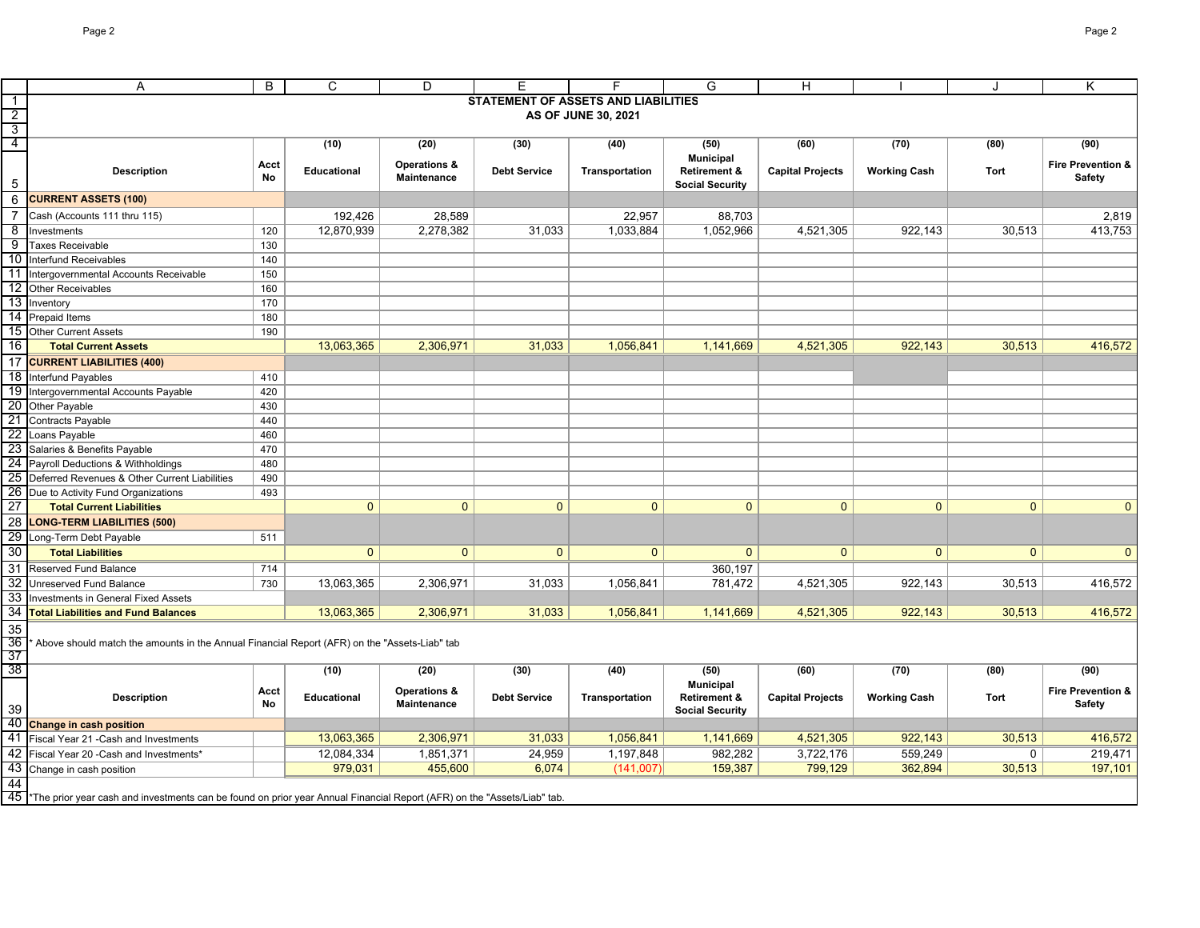|                 | Α                                                                                                                          | B          | $\mathsf{C}$       | D                       | E                   |                                            | G                       | H                       |                     | J            | Κ                 |
|-----------------|----------------------------------------------------------------------------------------------------------------------------|------------|--------------------|-------------------------|---------------------|--------------------------------------------|-------------------------|-------------------------|---------------------|--------------|-------------------|
| $\overline{1}$  |                                                                                                                            |            |                    |                         |                     | <b>STATEMENT OF ASSETS AND LIABILITIES</b> |                         |                         |                     |              |                   |
| $\overline{2}$  |                                                                                                                            |            |                    |                         |                     | AS OF JUNE 30, 2021                        |                         |                         |                     |              |                   |
| $\overline{3}$  |                                                                                                                            |            |                    |                         |                     |                                            |                         |                         |                     |              |                   |
| 4               |                                                                                                                            |            | (10)               | (20)                    | (30)                | (40)                                       | (50)                    | (60)                    | (70)                | (80)         | (90)              |
|                 |                                                                                                                            | Acct       |                    | <b>Operations &amp;</b> |                     |                                            | <b>Municipal</b>        |                         |                     |              | Fire Prevention & |
|                 | <b>Description</b>                                                                                                         | No         | <b>Educational</b> | Maintenance             | <b>Debt Service</b> | Transportation                             | <b>Retirement &amp;</b> | <b>Capital Projects</b> | <b>Working Cash</b> | Tort         | Safety            |
| 5               |                                                                                                                            |            |                    |                         |                     |                                            | <b>Social Security</b>  |                         |                     |              |                   |
| 6               | <b>CURRENT ASSETS (100)</b>                                                                                                |            |                    |                         |                     |                                            |                         |                         |                     |              |                   |
| $\overline{7}$  | Cash (Accounts 111 thru 115)                                                                                               |            | 192,426            | 28,589                  |                     | 22,957                                     | 88,703                  |                         |                     |              | 2,819             |
| 8               | Investments                                                                                                                | 120        | 12,870,939         | 2,278,382               | 31,033              | 1,033,884                                  | 1,052,966               | 4,521,305               | 922,143             | 30,513       | 413,753           |
| 9               | <b>Taxes Receivable</b>                                                                                                    | 130        |                    |                         |                     |                                            |                         |                         |                     |              |                   |
| 10              | Interfund Receivables                                                                                                      | 140        |                    |                         |                     |                                            |                         |                         |                     |              |                   |
| 11              | Intergovernmental Accounts Receivable                                                                                      | 150        |                    |                         |                     |                                            |                         |                         |                     |              |                   |
| 12              | <b>Other Receivables</b>                                                                                                   | 160        |                    |                         |                     |                                            |                         |                         |                     |              |                   |
|                 | 13 Inventory                                                                                                               | 170        |                    |                         |                     |                                            |                         |                         |                     |              |                   |
|                 | 14 Prepaid Items                                                                                                           | 180        |                    |                         |                     |                                            |                         |                         |                     |              |                   |
|                 | 15 Other Current Assets                                                                                                    | 190        |                    |                         |                     |                                            |                         |                         |                     |              |                   |
| 16              | <b>Total Current Assets</b>                                                                                                |            | 13,063,365         | 2,306,971               | 31,033              | 1,056,841                                  | 1,141,669               | 4,521,305               | 922,143             | 30,513       | 416,572           |
| $\overline{17}$ | <b>CURRENT LIABILITIES (400)</b>                                                                                           |            |                    |                         |                     |                                            |                         |                         |                     |              |                   |
| 18              | Interfund Payables                                                                                                         | 410        |                    |                         |                     |                                            |                         |                         |                     |              |                   |
| 19              | Intergovernmental Accounts Payable                                                                                         | 420        |                    |                         |                     |                                            |                         |                         |                     |              |                   |
| 20              | Other Payable                                                                                                              | 430        |                    |                         |                     |                                            |                         |                         |                     |              |                   |
|                 | 21 Contracts Payable                                                                                                       | 440        |                    |                         |                     |                                            |                         |                         |                     |              |                   |
| 22              | Loans Payable                                                                                                              | 460        |                    |                         |                     |                                            |                         |                         |                     |              |                   |
|                 | 23 Salaries & Benefits Payable                                                                                             | 470<br>480 |                    |                         |                     |                                            |                         |                         |                     |              |                   |
|                 | 24 Payroll Deductions & Withholdings<br>25 Deferred Revenues & Other Current Liabilities                                   | 490        |                    |                         |                     |                                            |                         |                         |                     |              |                   |
|                 | 26 Due to Activity Fund Organizations                                                                                      | 493        |                    |                         |                     |                                            |                         |                         |                     |              |                   |
| $\overline{27}$ | <b>Total Current Liabilities</b>                                                                                           |            | $\overline{0}$     | $\mathbf{0}$            | $\overline{0}$      | $\mathbf 0$                                | $\mathbf{0}$            | $\mathbf{0}$            | $\mathbf{0}$        | $\mathbf{0}$ | $\mathbf{0}$      |
| 28              | <b>LONG-TERM LIABILITIES (500)</b>                                                                                         |            |                    |                         |                     |                                            |                         |                         |                     |              |                   |
|                 | 29 Long-Term Debt Payable                                                                                                  | 511        |                    |                         |                     |                                            |                         |                         |                     |              |                   |
| 30              | <b>Total Liabilities</b>                                                                                                   |            | $\overline{0}$     | $\mathbf{0}$            | $\mathbf{0}$        | $\mathbf{0}$                               | $\mathbf{0}$            | $\mathbf{0}$            | $\mathbf{0}$        | $\mathbf{0}$ | $\mathbf{0}$      |
|                 |                                                                                                                            |            |                    |                         |                     |                                            |                         |                         |                     |              |                   |
| 31<br>32        | Reserved Fund Balance                                                                                                      | 714        |                    |                         |                     |                                            | 360,197                 |                         |                     |              |                   |
| 33              | Unreserved Fund Balance                                                                                                    | 730        | 13,063,365         | 2,306,971               | 31,033              | 1,056,841                                  | 781,472                 | 4,521,305               | 922,143             | 30,513       | 416,572           |
| 34              | Investments in General Fixed Assets<br><b>Total Liabilities and Fund Balances</b>                                          |            | 13,063,365         | 2,306,971               | 31,033              | 1,056,841                                  | 1,141,669               | 4,521,305               | 922,143             | 30,513       | 416,572           |
|                 |                                                                                                                            |            |                    |                         |                     |                                            |                         |                         |                     |              |                   |
| 35              |                                                                                                                            |            |                    |                         |                     |                                            |                         |                         |                     |              |                   |
| 36<br>37        | Above should match the amounts in the Annual Financial Report (AFR) on the "Assets-Liab" tab                               |            |                    |                         |                     |                                            |                         |                         |                     |              |                   |
| 38              |                                                                                                                            |            | (10)               | (20)                    | (30)                | (40)                                       | (50)                    | (60)                    | (70)                | (80)         | (90)              |
|                 |                                                                                                                            |            |                    |                         |                     |                                            | <b>Municipal</b>        |                         |                     |              |                   |
|                 | <b>Description</b>                                                                                                         | Acct       | Educational        | Operations &            | <b>Debt Service</b> | Transportation                             | <b>Retirement &amp;</b> | <b>Capital Projects</b> | <b>Working Cash</b> | Tort         | Fire Prevention & |
| 39              |                                                                                                                            | No         |                    | Maintenance             |                     |                                            | <b>Social Security</b>  |                         |                     |              | <b>Safety</b>     |
|                 | 40 Change in cash position                                                                                                 |            |                    |                         |                     |                                            |                         |                         |                     |              |                   |
| 41              | Fiscal Year 21 - Cash and Investments                                                                                      |            | 13,063,365         | 2,306,971               | 31,033              | 1,056,841                                  | 1,141,669               | 4,521,305               | 922,143             | 30,513       | 416,572           |
|                 | 42 Fiscal Year 20 - Cash and Investments*                                                                                  |            | 12,084,334         | 1,851,371               | 24,959              | 1,197,848                                  | 982,282                 | 3,722,176               | 559,249             | 0            | 219,471           |
|                 | 43 Change in cash position                                                                                                 |            | 979,031            | 455,600                 | 6,074               | (141,007)                                  | 159,387                 | 799,129                 | 362,894             | 30,513       | 197,101           |
| 44              |                                                                                                                            |            |                    |                         |                     |                                            |                         |                         |                     |              |                   |
|                 | 45 *The prior year cash and investments can be found on prior year Annual Financial Report (AFR) on the "Assets/Liab" tab. |            |                    |                         |                     |                                            |                         |                         |                     |              |                   |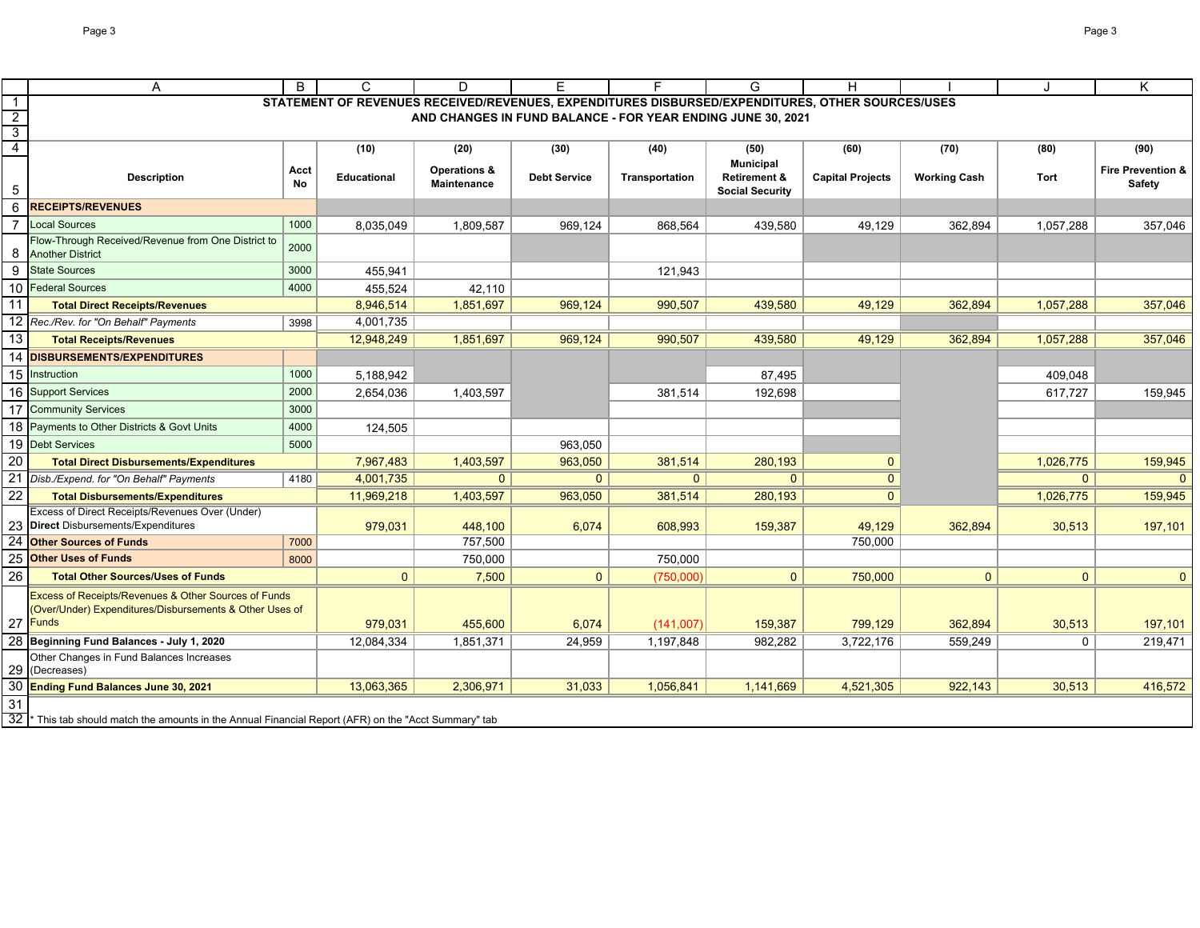|               | A                                                                                                                               | B          | C                  | D                                  | E                                                           |                | G                                                                     | H                                                                                                |                     |              | K                                             |
|---------------|---------------------------------------------------------------------------------------------------------------------------------|------------|--------------------|------------------------------------|-------------------------------------------------------------|----------------|-----------------------------------------------------------------------|--------------------------------------------------------------------------------------------------|---------------------|--------------|-----------------------------------------------|
| $\mathbf{1}$  |                                                                                                                                 |            |                    |                                    |                                                             |                |                                                                       | STATEMENT OF REVENUES RECEIVED/REVENUES, EXPENDITURES DISBURSED/EXPENDITURES, OTHER SOURCES/USES |                     |              |                                               |
|               |                                                                                                                                 |            |                    |                                    | AND CHANGES IN FUND BALANCE - FOR YEAR ENDING JUNE 30, 2021 |                |                                                                       |                                                                                                  |                     |              |                                               |
| $\frac{2}{3}$ |                                                                                                                                 |            |                    |                                    |                                                             |                |                                                                       |                                                                                                  |                     |              |                                               |
|               |                                                                                                                                 |            | (10)               | (20)                               | (30)                                                        | (40)           | (50)                                                                  | (60)                                                                                             | (70)                | (80)         | (90)                                          |
| 5             | <b>Description</b>                                                                                                              | Acct<br>No | <b>Educational</b> | Operations &<br><b>Maintenance</b> | <b>Debt Service</b>                                         | Transportation | <b>Municipal</b><br><b>Retirement &amp;</b><br><b>Social Security</b> | <b>Capital Projects</b>                                                                          | <b>Working Cash</b> | Tort         | <b>Fire Prevention &amp;</b><br><b>Safety</b> |
| 6             | <b>RECEIPTS/REVENUES</b>                                                                                                        |            |                    |                                    |                                                             |                |                                                                       |                                                                                                  |                     |              |                                               |
|               | <b>Local Sources</b>                                                                                                            | 1000       | 8,035,049          | 1,809,587                          | 969,124                                                     | 868,564        | 439,580                                                               | 49,129                                                                                           | 362,894             | 1,057,288    | 357,046                                       |
| 8             | Flow-Through Received/Revenue from One District to<br><b>Another District</b>                                                   | 2000       |                    |                                    |                                                             |                |                                                                       |                                                                                                  |                     |              |                                               |
| 9             | <b>State Sources</b>                                                                                                            | 3000       | 455,941            |                                    |                                                             | 121,943        |                                                                       |                                                                                                  |                     |              |                                               |
| 10            | <b>Federal Sources</b>                                                                                                          | 4000       | 455.524            | 42,110                             |                                                             |                |                                                                       |                                                                                                  |                     |              |                                               |
| 11            | <b>Total Direct Receipts/Revenues</b>                                                                                           |            | 8,946,514          | 1,851,697                          | 969,124                                                     | 990,507        | 439,580                                                               | 49,129                                                                                           | 362,894             | 1,057,288    | 357,046                                       |
| 12            | Rec./Rev. for "On Behalf" Payments                                                                                              | 3998       | 4,001,735          |                                    |                                                             |                |                                                                       |                                                                                                  |                     |              |                                               |
| 13            | <b>Total Receipts/Revenues</b>                                                                                                  |            | 12,948,249         | 1,851,697                          | 969,124                                                     | 990,507        | 439,580                                                               | 49,129                                                                                           | 362,894             | 1,057,288    | 357,046                                       |
| 14            | <b>DISBURSEMENTS/EXPENDITURES</b>                                                                                               |            |                    |                                    |                                                             |                |                                                                       |                                                                                                  |                     |              |                                               |
| 15            | Instruction                                                                                                                     | 1000       | 5,188,942          |                                    |                                                             |                | 87,495                                                                |                                                                                                  |                     | 409,048      |                                               |
|               | 16 Support Services                                                                                                             | 2000       | 2,654,036          | 1,403,597                          |                                                             | 381,514        | 192,698                                                               |                                                                                                  |                     | 617,727      | 159,945                                       |
| 17            | <b>Community Services</b>                                                                                                       | 3000       |                    |                                    |                                                             |                |                                                                       |                                                                                                  |                     |              |                                               |
| 18            | Payments to Other Districts & Govt Units                                                                                        | 4000       | 124,505            |                                    |                                                             |                |                                                                       |                                                                                                  |                     |              |                                               |
| 19            | <b>Debt Services</b>                                                                                                            | 5000       |                    |                                    | 963,050                                                     |                |                                                                       |                                                                                                  |                     |              |                                               |
| 20            | <b>Total Direct Disbursements/Expenditures</b>                                                                                  |            | 7,967,483          | 1,403,597                          | 963,050                                                     | 381,514        | 280,193                                                               | $\Omega$                                                                                         |                     | 1,026,775    | 159,945                                       |
|               | 21 Disb./Expend. for "On Behalf" Payments                                                                                       | 4180       | 4,001,735          | $\mathbf{0}$                       | $\mathbf{0}$                                                | $\mathbf{0}$   | $\Omega$                                                              | $\Omega$                                                                                         |                     | $\mathbf{0}$ | $\Omega$                                      |
| 22            | <b>Total Disbursements/Expenditures</b>                                                                                         |            | 11,969,218         | 1,403,597                          | 963,050                                                     | 381,514        | 280,193                                                               | $\Omega$                                                                                         |                     | 1,026,775    | 159,945                                       |
|               | Excess of Direct Receipts/Revenues Over (Under)                                                                                 |            |                    |                                    |                                                             |                |                                                                       |                                                                                                  |                     |              |                                               |
|               | <b>Direct</b> Disbursements/Expenditures                                                                                        |            | 979,031            | 448,100                            | 6,074                                                       | 608,993        | 159,387                                                               | 49,129                                                                                           | 362,894             | 30,513       | 197,101                                       |
|               | <b>Other Sources of Funds</b><br><b>Other Uses of Funds</b>                                                                     | 7000       |                    | 757,500                            |                                                             |                |                                                                       | 750,000                                                                                          |                     |              |                                               |
| 25            |                                                                                                                                 | 8000       |                    | 750,000                            |                                                             | 750,000        |                                                                       |                                                                                                  |                     |              |                                               |
| 26            | <b>Total Other Sources/Uses of Funds</b>                                                                                        |            | $\mathbf{0}$       | 7,500                              | $\mathbf{0}$                                                | (750,000)      | $\mathbf{0}$                                                          | 750,000                                                                                          | $\mathbf{0}$        | $\mathbf{0}$ | $\Omega$                                      |
| 27            | Excess of Receipts/Revenues & Other Sources of Funds<br>(Over/Under) Expenditures/Disbursements & Other Uses of<br><b>Funds</b> |            | 979,031            | 455,600                            | 6,074                                                       | (141,007)      | 159,387                                                               | 799,129                                                                                          | 362,894             | 30,513       | 197,101                                       |
|               | Beginning Fund Balances - July 1, 2020                                                                                          |            | 12,084,334         | 1,851,371                          | 24,959                                                      | 1,197,848      | 982,282                                                               | 3,722,176                                                                                        | 559,249             | $\mathbf{0}$ | 219,471                                       |
| 29            | Other Changes in Fund Balances Increases<br>(Decreases)                                                                         |            |                    |                                    |                                                             |                |                                                                       |                                                                                                  |                     |              |                                               |
|               | Ending Fund Balances June 30, 2021                                                                                              |            | 13,063,365         | 2,306,971                          | 31,033                                                      | 1,056,841      | 1,141,669                                                             | 4,521,305                                                                                        | 922,143             | 30,513       | 416,572                                       |
| 31            |                                                                                                                                 |            |                    |                                    |                                                             |                |                                                                       |                                                                                                  |                     |              |                                               |
| 32            | This tab should match the amounts in the Annual Financial Report (AFR) on the "Acct Summary" tab                                |            |                    |                                    |                                                             |                |                                                                       |                                                                                                  |                     |              |                                               |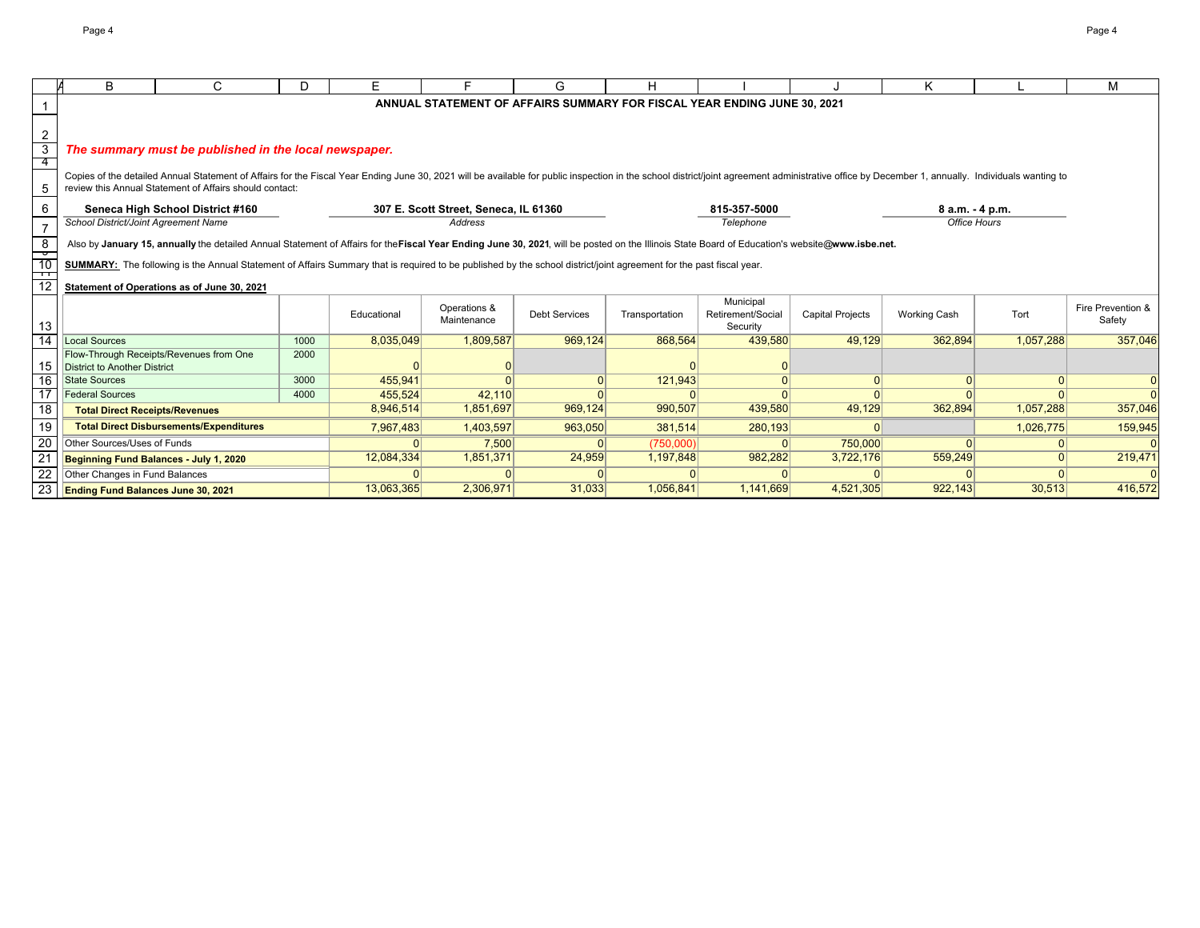|                          | B                                         | C                                                                                                                                                                                                                                                                                         | D    | E.          |                                       | G                    | H              |                                                                          |                         | K                   |           | М                 |
|--------------------------|-------------------------------------------|-------------------------------------------------------------------------------------------------------------------------------------------------------------------------------------------------------------------------------------------------------------------------------------------|------|-------------|---------------------------------------|----------------------|----------------|--------------------------------------------------------------------------|-------------------------|---------------------|-----------|-------------------|
|                          |                                           |                                                                                                                                                                                                                                                                                           |      |             |                                       |                      |                | ANNUAL STATEMENT OF AFFAIRS SUMMARY FOR FISCAL YEAR ENDING JUNE 30, 2021 |                         |                     |           |                   |
|                          |                                           |                                                                                                                                                                                                                                                                                           |      |             |                                       |                      |                |                                                                          |                         |                     |           |                   |
| $\overline{2}$           |                                           |                                                                                                                                                                                                                                                                                           |      |             |                                       |                      |                |                                                                          |                         |                     |           |                   |
| $\overline{3}$           |                                           | The summary must be published in the local newspaper.                                                                                                                                                                                                                                     |      |             |                                       |                      |                |                                                                          |                         |                     |           |                   |
| 4                        |                                           |                                                                                                                                                                                                                                                                                           |      |             |                                       |                      |                |                                                                          |                         |                     |           |                   |
| 5                        |                                           | Copies of the detailed Annual Statement of Affairs for the Fiscal Year Ending June 30, 2021 will be available for public inspection in the school district/joint agreement administrative office by December 1, annually. Indi<br>review this Annual Statement of Affairs should contact: |      |             |                                       |                      |                |                                                                          |                         |                     |           |                   |
|                          |                                           |                                                                                                                                                                                                                                                                                           |      |             |                                       |                      |                |                                                                          |                         |                     |           |                   |
| 6                        |                                           | Seneca High School District #160                                                                                                                                                                                                                                                          |      |             | 307 E. Scott Street, Seneca, IL 61360 |                      |                | 815-357-5000                                                             |                         | 8 a.m. - 4 p.m.     |           |                   |
| $\boldsymbol{7}$         | School District/Joint Agreement Name      |                                                                                                                                                                                                                                                                                           |      |             | Address                               |                      |                | Telephone                                                                |                         | <b>Office Hours</b> |           |                   |
| $\overline{\phantom{a}}$ |                                           | Also by January 15, annually the detailed Annual Statement of Affairs for the Fiscal Year Ending June 30, 2021, will be posted on the Illinois State Board of Education's website@www.isbe.net.                                                                                           |      |             |                                       |                      |                |                                                                          |                         |                     |           |                   |
| $\frac{6}{10}$           |                                           | SUMMARY: The following is the Annual Statement of Affairs Summary that is required to be published by the school district/joint agreement for the past fiscal year.                                                                                                                       |      |             |                                       |                      |                |                                                                          |                         |                     |           |                   |
| $\frac{1}{12}$           |                                           |                                                                                                                                                                                                                                                                                           |      |             |                                       |                      |                |                                                                          |                         |                     |           |                   |
|                          |                                           | Statement of Operations as of June 30, 2021                                                                                                                                                                                                                                               |      |             |                                       |                      |                |                                                                          |                         |                     |           |                   |
|                          |                                           |                                                                                                                                                                                                                                                                                           |      |             | Operations &                          |                      |                | Municipal                                                                |                         |                     |           | Fire Prevention & |
| 13                       |                                           |                                                                                                                                                                                                                                                                                           |      | Educational | Maintenance                           | <b>Debt Services</b> | Transportation | Retirement/Social<br>Security                                            | <b>Capital Projects</b> | Working Cash        | Tort      | Safety            |
| $\overline{14}$          | <b>Local Sources</b>                      |                                                                                                                                                                                                                                                                                           | 1000 | 8,035,049   | 1,809,587                             | 969.124              | 868,564        | 439,580                                                                  | 49.129                  | 362,894             | 1,057,288 | 357,046           |
|                          |                                           | Flow-Through Receipts/Revenues from One                                                                                                                                                                                                                                                   | 2000 |             |                                       |                      |                |                                                                          |                         |                     |           |                   |
| 15                       | District to Another District              |                                                                                                                                                                                                                                                                                           |      |             |                                       |                      |                |                                                                          |                         |                     |           |                   |
| 16                       | <b>State Sources</b>                      |                                                                                                                                                                                                                                                                                           | 3000 | 455,941     |                                       |                      | 121,943        |                                                                          | 0                       | $\Omega$            | $\Omega$  | $\overline{0}$    |
| $\overline{17}$          | <b>Federal Sources</b>                    |                                                                                                                                                                                                                                                                                           | 4000 | 455,524     | 42,110                                |                      |                | $\cap$                                                                   | $\Omega$                | $\Omega$            | $\Omega$  | $\Omega$          |
| 18                       | <b>Total Direct Receipts/Revenues</b>     |                                                                                                                                                                                                                                                                                           |      | 8,946,514   | 1,851,697                             | 969,124              | 990,507        | 439,580                                                                  | 49,129                  | 362,894             | 1,057,288 | 357,046           |
| 19                       |                                           | <b>Total Direct Disbursements/Expenditures</b>                                                                                                                                                                                                                                            |      | 7,967,483   | 1,403,597                             | 963,050              | 381,514        | 280,193                                                                  | $\Omega$                |                     | 1,026,775 | 159,945           |
| 20                       | Other Sources/Uses of Funds               |                                                                                                                                                                                                                                                                                           |      |             | 7,500                                 |                      | (750,000)      |                                                                          | 750,000                 |                     | $\Omega$  |                   |
| 21                       | Beginning Fund Balances - July 1, 2020    |                                                                                                                                                                                                                                                                                           |      | 12,084,334  | 1,851,371                             | 24,959               | 1,197,848      | 982,282                                                                  | 3,722,176               | 559,249             | $\Omega$  | 219,471           |
| 22                       | Other Changes in Fund Balances            |                                                                                                                                                                                                                                                                                           |      |             |                                       |                      |                |                                                                          |                         |                     |           |                   |
| $\overline{23}$          | <b>Ending Fund Balances June 30, 2021</b> |                                                                                                                                                                                                                                                                                           |      | 13,063,365  | 2,306,971                             | 31,033               | 1,056,841      | 1,141,669                                                                | 4,521,305               | 922,143             | 30,513    | 416,572           |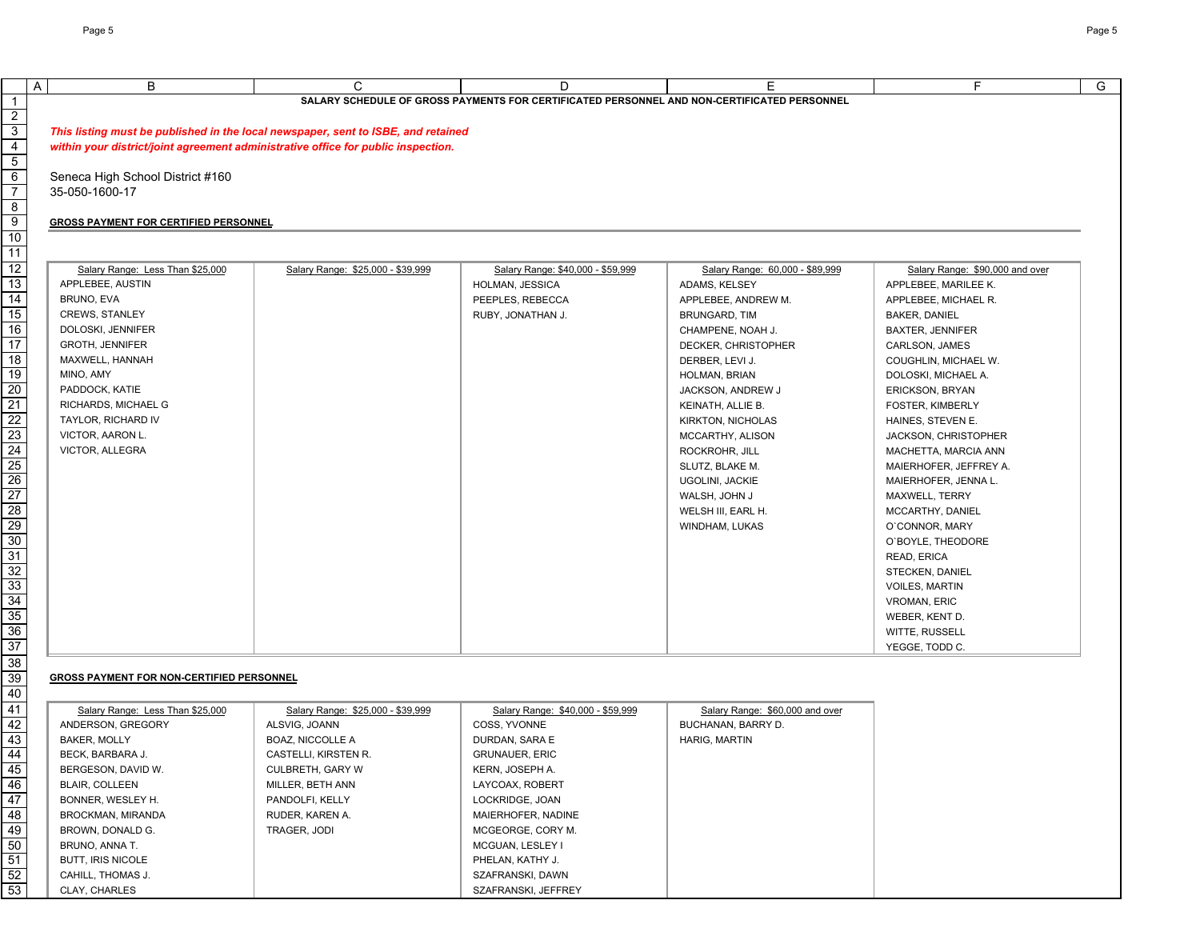|                                              |                                                                                   |                                                                                                  |                                 | F                               |
|----------------------------------------------|-----------------------------------------------------------------------------------|--------------------------------------------------------------------------------------------------|---------------------------------|---------------------------------|
| B                                            | C                                                                                 | D<br>SALARY SCHEDULE OF GROSS PAYMENTS FOR CERTIFICATED PERSONNEL AND NON-CERTIFICATED PERSONNEL | Е                               |                                 |
|                                              |                                                                                   |                                                                                                  |                                 |                                 |
|                                              | This listing must be published in the local newspaper, sent to ISBE, and retained |                                                                                                  |                                 |                                 |
|                                              |                                                                                   |                                                                                                  |                                 |                                 |
|                                              | within your district/joint agreement administrative office for public inspection. |                                                                                                  |                                 |                                 |
| Seneca High School District #160             |                                                                                   |                                                                                                  |                                 |                                 |
| 35-050-1600-17                               |                                                                                   |                                                                                                  |                                 |                                 |
|                                              |                                                                                   |                                                                                                  |                                 |                                 |
| <b>GROSS PAYMENT FOR CERTIFIED PERSONNEL</b> |                                                                                   |                                                                                                  |                                 |                                 |
|                                              |                                                                                   |                                                                                                  |                                 |                                 |
|                                              |                                                                                   |                                                                                                  |                                 |                                 |
| Salary Range: Less Than \$25,000             | Salary Range: \$25,000 - \$39,999                                                 | Salary Range: \$40,000 - \$59,999                                                                | Salary Range: 60,000 - \$89,999 | Salary Range: \$90,000 and over |
| APPLEBEE, AUSTIN                             |                                                                                   | HOLMAN, JESSICA                                                                                  | ADAMS, KELSEY                   | APPLEBEE, MARILEE K.            |
| BRUNO, EVA                                   |                                                                                   | PEEPLES, REBECCA                                                                                 | APPLEBEE, ANDREW M.             | APPLEBEE, MICHAEL R.            |
| <b>CREWS, STANLEY</b>                        |                                                                                   | RUBY, JONATHAN J.                                                                                | <b>BRUNGARD, TIM</b>            | <b>BAKER, DANIEL</b>            |
| DOLOSKI, JENNIFER                            |                                                                                   |                                                                                                  | CHAMPENE, NOAH J.               | BAXTER, JENNIFER                |
| <b>GROTH, JENNIFER</b>                       |                                                                                   |                                                                                                  | DECKER, CHRISTOPHER             | CARLSON, JAMES                  |
| MAXWELL, HANNAH                              |                                                                                   |                                                                                                  | DERBER, LEVI J.                 | COUGHLIN, MICHAEL W.            |
| MINO, AMY                                    |                                                                                   |                                                                                                  | HOLMAN, BRIAN                   | DOLOSKI, MICHAEL A.             |
| PADDOCK, KATIE                               |                                                                                   |                                                                                                  | JACKSON, ANDREW J               | <b>ERICKSON, BRYAN</b>          |
| RICHARDS, MICHAEL G                          |                                                                                   |                                                                                                  | KEINATH, ALLIE B.               | FOSTER, KIMBERLY                |
| TAYLOR, RICHARD IV                           |                                                                                   |                                                                                                  | KIRKTON, NICHOLAS               | HAINES, STEVEN E.               |
| VICTOR, AARON L.                             |                                                                                   |                                                                                                  | MCCARTHY, ALISON                | JACKSON, CHRISTOPHER            |
| VICTOR, ALLEGRA                              |                                                                                   |                                                                                                  | ROCKROHR, JILL                  | MACHETTA, MARCIA ANN            |
|                                              |                                                                                   |                                                                                                  | SLUTZ, BLAKE M.                 | MAIERHOFER, JEFFREY A.          |
|                                              |                                                                                   |                                                                                                  | UGOLINI, JACKIE                 | MAIERHOFER, JENNA L.            |
|                                              |                                                                                   |                                                                                                  | WALSH, JOHN J                   | MAXWELL, TERRY                  |
|                                              |                                                                                   |                                                                                                  | WELSH III, EARL H.              | MCCARTHY, DANIEL                |
|                                              |                                                                                   |                                                                                                  | WINDHAM, LUKAS                  | O'CONNOR, MARY                  |
|                                              |                                                                                   |                                                                                                  |                                 | O'BOYLE, THEODORE               |
|                                              |                                                                                   |                                                                                                  |                                 | READ, ERICA                     |
|                                              |                                                                                   |                                                                                                  |                                 | STECKEN, DANIEL                 |
|                                              |                                                                                   |                                                                                                  |                                 | <b>VOILES, MARTIN</b>           |
|                                              |                                                                                   |                                                                                                  |                                 | <b>VROMAN, ERIC</b>             |
|                                              |                                                                                   |                                                                                                  |                                 | WEBER, KENT D.                  |
|                                              |                                                                                   |                                                                                                  |                                 | WITTE, RUSSELL                  |
|                                              |                                                                                   |                                                                                                  |                                 | YEGGE, TODD C.                  |
|                                              |                                                                                   |                                                                                                  |                                 |                                 |
| GROSS PAYMENT FOR NON-CERTIFIED PERSONNEL    |                                                                                   |                                                                                                  |                                 |                                 |
|                                              |                                                                                   |                                                                                                  |                                 |                                 |
| Salary Range: Less Than \$25,000             | Salary Range: \$25,000 - \$39,999                                                 | Salary Range: \$40,000 - \$59,999                                                                | Salary Range: \$60,000 and over |                                 |
| ANDERSON, GREGORY                            | ALSVIG, JOANN                                                                     | COSS, YVONNE                                                                                     | BUCHANAN, BARRY D.              |                                 |
| <b>BAKER, MOLLY</b>                          | BOAZ, NICCOLLE A                                                                  | DURDAN, SARA E                                                                                   | <b>HARIG, MARTIN</b>            |                                 |
| BECK, BARBARA J.                             | CASTELLI, KIRSTEN R.                                                              | <b>GRUNAUER, ERIC</b>                                                                            |                                 |                                 |
| BERGESON, DAVID W.                           | CULBRETH, GARY W                                                                  | KERN, JOSEPH A.                                                                                  |                                 |                                 |
| <b>BLAIR, COLLEEN</b>                        | MILLER, BETH ANN                                                                  | LAYCOAX, ROBERT                                                                                  |                                 |                                 |
| BONNER, WESLEY H.                            | PANDOLFI, KELLY                                                                   | LOCKRIDGE, JOAN                                                                                  |                                 |                                 |
| BROCKMAN, MIRANDA                            | RUDER, KAREN A.                                                                   | MAIERHOFER, NADINE                                                                               |                                 |                                 |
| BROWN, DONALD G.                             | TRAGER, JODI                                                                      | MCGEORGE, CORY M.                                                                                |                                 |                                 |
| BRUNO, ANNA T.                               |                                                                                   | MCGUAN, LESLEY I                                                                                 |                                 |                                 |
| <b>BUTT, IRIS NICOLE</b>                     |                                                                                   | PHELAN, KATHY J.                                                                                 |                                 |                                 |
| CAHILL, THOMAS J.                            |                                                                                   | SZAFRANSKI, DAWN                                                                                 |                                 |                                 |
| CLAY, CHARLES                                |                                                                                   | SZAFRANSKI, JEFFREY                                                                              |                                 |                                 |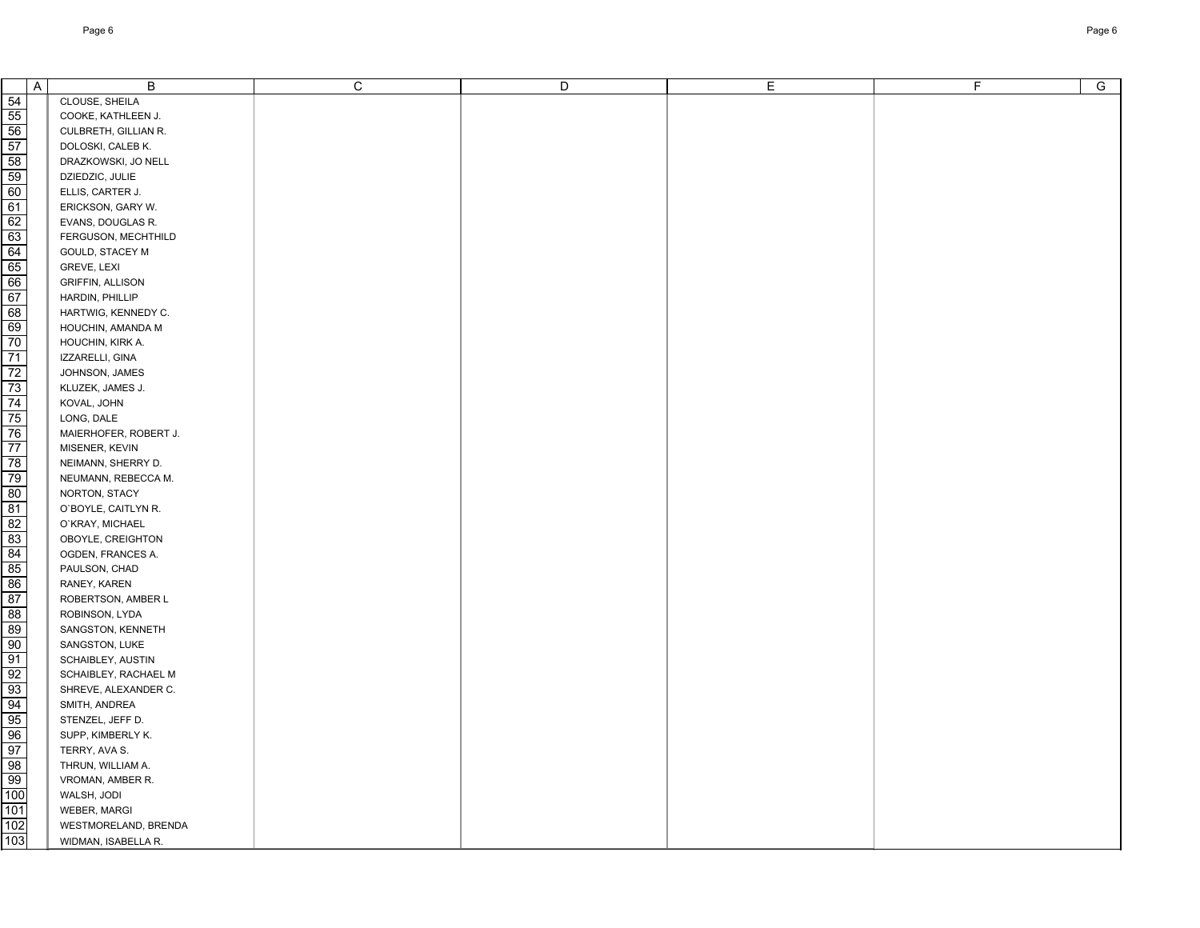|     | $\mathsf{A}$ | B                       | $\mathbf C$ | D | E. | F. | $\overline{G}$ |
|-----|--------------|-------------------------|-------------|---|----|----|----------------|
| 54  |              | CLOUSE, SHEILA          |             |   |    |    |                |
| 55  |              | COOKE, KATHLEEN J.      |             |   |    |    |                |
| 56  |              | CULBRETH, GILLIAN R.    |             |   |    |    |                |
| 57  |              | DOLOSKI, CALEB K.       |             |   |    |    |                |
| 58  |              | DRAZKOWSKI, JO NELL     |             |   |    |    |                |
| 59  |              | DZIEDZIC, JULIE         |             |   |    |    |                |
| 60  |              | ELLIS, CARTER J.        |             |   |    |    |                |
| 61  |              | ERICKSON, GARY W.       |             |   |    |    |                |
| 62  |              | EVANS, DOUGLAS R.       |             |   |    |    |                |
| 63  |              | FERGUSON, MECHTHILD     |             |   |    |    |                |
| 64  |              | GOULD, STACEY M         |             |   |    |    |                |
| 65  |              | GREVE, LEXI             |             |   |    |    |                |
| 66  |              | <b>GRIFFIN, ALLISON</b> |             |   |    |    |                |
| 67  |              | HARDIN, PHILLIP         |             |   |    |    |                |
| 68  |              | HARTWIG, KENNEDY C.     |             |   |    |    |                |
| 69  |              | HOUCHIN, AMANDA M       |             |   |    |    |                |
| 70  |              | HOUCHIN, KIRK A.        |             |   |    |    |                |
| 71  |              | IZZARELLI, GINA         |             |   |    |    |                |
| 72  |              | JOHNSON, JAMES          |             |   |    |    |                |
| 73  |              | KLUZEK, JAMES J.        |             |   |    |    |                |
| 74  |              | KOVAL, JOHN             |             |   |    |    |                |
| 75  |              | LONG, DALE              |             |   |    |    |                |
| 76  |              | MAIERHOFER, ROBERT J.   |             |   |    |    |                |
| 77  |              | MISENER, KEVIN          |             |   |    |    |                |
| 78  |              | NEIMANN, SHERRY D.      |             |   |    |    |                |
| 79  |              | NEUMANN, REBECCA M.     |             |   |    |    |                |
| 80  |              | NORTON, STACY           |             |   |    |    |                |
| 81  |              | O'BOYLE, CAITLYN R.     |             |   |    |    |                |
| 82  |              | O'KRAY, MICHAEL         |             |   |    |    |                |
| 83  |              | OBOYLE, CREIGHTON       |             |   |    |    |                |
| 84  |              | OGDEN, FRANCES A.       |             |   |    |    |                |
| 85  |              | PAULSON, CHAD           |             |   |    |    |                |
| 86  |              | RANEY, KAREN            |             |   |    |    |                |
| 87  |              | ROBERTSON, AMBER L      |             |   |    |    |                |
| 88  |              | ROBINSON, LYDA          |             |   |    |    |                |
| 89  |              | SANGSTON, KENNETH       |             |   |    |    |                |
| 90  |              | SANGSTON, LUKE          |             |   |    |    |                |
| 91  |              | SCHAIBLEY, AUSTIN       |             |   |    |    |                |
| 92  |              | SCHAIBLEY, RACHAEL M    |             |   |    |    |                |
| 93  |              | SHREVE, ALEXANDER C.    |             |   |    |    |                |
| 94  |              | SMITH, ANDREA           |             |   |    |    |                |
| 95  |              | STENZEL, JEFF D.        |             |   |    |    |                |
| 96  |              | SUPP, KIMBERLY K.       |             |   |    |    |                |
| 97  |              | TERRY, AVA S.           |             |   |    |    |                |
| 98  |              | THRUN, WILLIAM A.       |             |   |    |    |                |
| 99  |              | VROMAN, AMBER R.        |             |   |    |    |                |
| 100 |              | WALSH, JODI             |             |   |    |    |                |
| 101 |              | WEBER, MARGI            |             |   |    |    |                |
| 102 |              | WESTMORELAND, BRENDA    |             |   |    |    |                |
| 103 |              | WIDMAN, ISABELLA R.     |             |   |    |    |                |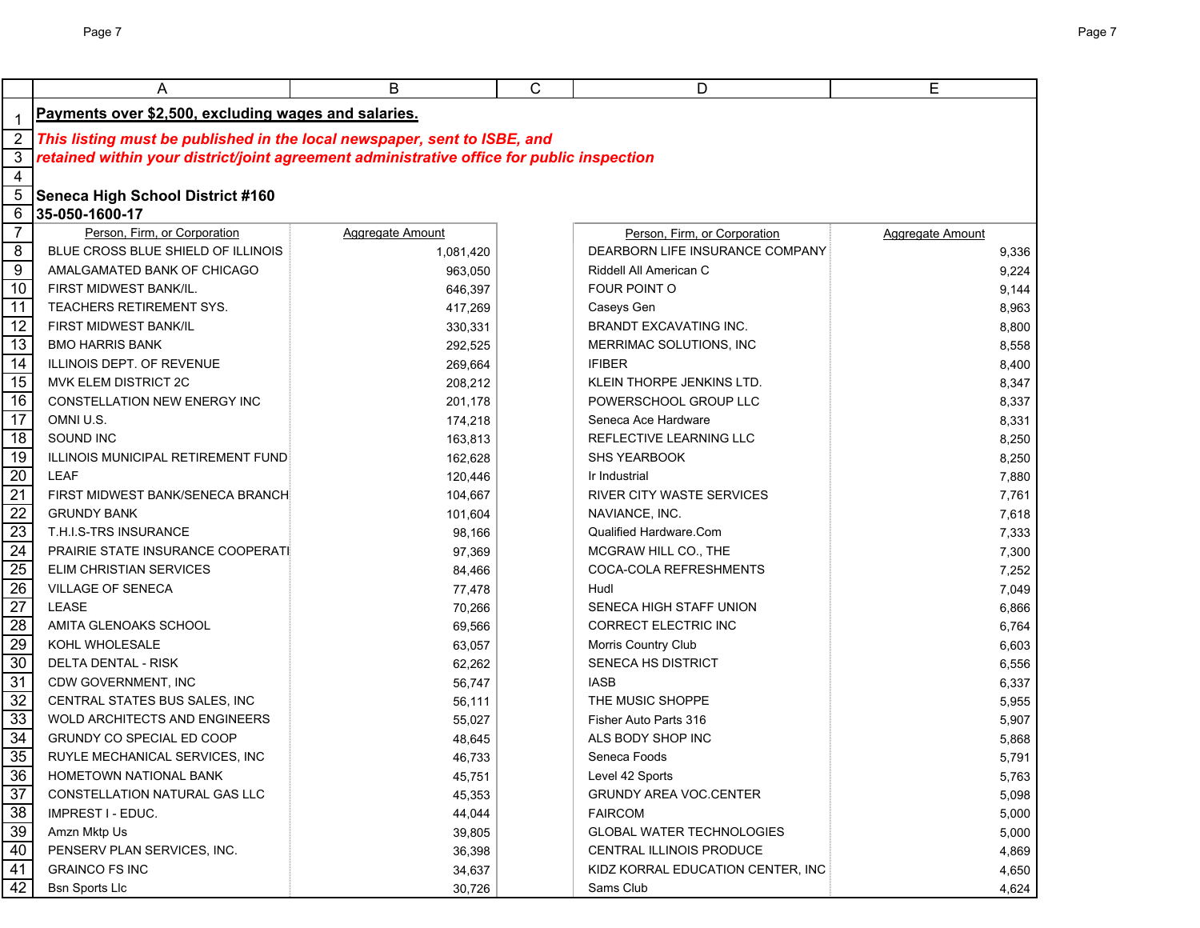|                 | Α                                                                                                                                                                     | B                | C | D                                 | E                |
|-----------------|-----------------------------------------------------------------------------------------------------------------------------------------------------------------------|------------------|---|-----------------------------------|------------------|
| -1              | Payments over \$2,500, excluding wages and salaries.                                                                                                                  |                  |   |                                   |                  |
| $\overline{2}$  |                                                                                                                                                                       |                  |   |                                   |                  |
| $\mathbf{3}$    | This listing must be published in the local newspaper, sent to ISBE, and<br>retained within your district/joint agreement administrative office for public inspection |                  |   |                                   |                  |
| $\overline{4}$  |                                                                                                                                                                       |                  |   |                                   |                  |
| 5               | <b>Seneca High School District #160</b>                                                                                                                               |                  |   |                                   |                  |
| 6               | 35-050-1600-17                                                                                                                                                        |                  |   |                                   |                  |
| $\overline{7}$  | Person, Firm, or Corporation                                                                                                                                          | Aggregate Amount |   | Person, Firm, or Corporation      | Aggregate Amount |
| 8               | BLUE CROSS BLUE SHIELD OF ILLINOIS                                                                                                                                    | 1,081,420        |   | DEARBORN LIFE INSURANCE COMPANY   | 9,336            |
| $\overline{9}$  | AMALGAMATED BANK OF CHICAGO                                                                                                                                           | 963,050          |   | Riddell All American C            | 9,224            |
| 10              | FIRST MIDWEST BANK/IL.                                                                                                                                                | 646,397          |   | FOUR POINT O                      | 9,144            |
| 11              | TEACHERS RETIREMENT SYS.                                                                                                                                              | 417,269          |   | Caseys Gen                        | 8,963            |
| 12              | <b>FIRST MIDWEST BANK/IL</b>                                                                                                                                          | 330,331          |   | BRANDT EXCAVATING INC.            | 8,800            |
| 13              | <b>BMO HARRIS BANK</b>                                                                                                                                                | 292,525          |   | MERRIMAC SOLUTIONS, INC           | 8,558            |
| 14              | ILLINOIS DEPT. OF REVENUE                                                                                                                                             | 269,664          |   | <b>IFIBER</b>                     | 8,400            |
| 15              | MVK ELEM DISTRICT 2C                                                                                                                                                  | 208,212          |   | KLEIN THORPE JENKINS LTD.         | 8,347            |
| 16              | <b>CONSTELLATION NEW ENERGY INC</b>                                                                                                                                   | 201,178          |   | POWERSCHOOL GROUP LLC             | 8,337            |
| 17              | OMNI U.S.                                                                                                                                                             | 174,218          |   | Seneca Ace Hardware               | 8,331            |
| 18              | SOUND INC                                                                                                                                                             | 163,813          |   | REFLECTIVE LEARNING LLC           | 8,250            |
| 19              | ILLINOIS MUNICIPAL RETIREMENT FUND                                                                                                                                    | 162,628          |   | SHS YEARBOOK                      | 8,250            |
| $\overline{20}$ | <b>LEAF</b>                                                                                                                                                           | 120,446          |   | Ir Industrial                     | 7,880            |
| 21              | FIRST MIDWEST BANK/SENECA BRANCH                                                                                                                                      | 104,667          |   | <b>RIVER CITY WASTE SERVICES</b>  | 7,761            |
| $\overline{22}$ | <b>GRUNDY BANK</b>                                                                                                                                                    | 101,604          |   | NAVIANCE, INC.                    | 7,618            |
| 23              | T.H.I.S-TRS INSURANCE                                                                                                                                                 | 98,166           |   | Qualified Hardware.Com            | 7,333            |
| 24              | PRAIRIE STATE INSURANCE COOPERATI                                                                                                                                     | 97,369           |   | MCGRAW HILL CO., THE              | 7,300            |
| $\overline{25}$ | ELIM CHRISTIAN SERVICES                                                                                                                                               | 84,466           |   | COCA-COLA REFRESHMENTS            | 7,252            |
| 26              | VILLAGE OF SENECA                                                                                                                                                     | 77,478           |   | Hudl                              | 7,049            |
| 27              | <b>LEASE</b>                                                                                                                                                          | 70,266           |   | SENECA HIGH STAFF UNION           | 6,866            |
| $\overline{28}$ | AMITA GLENOAKS SCHOOL                                                                                                                                                 | 69,566           |   | <b>CORRECT ELECTRIC INC</b>       | 6,764            |
| 29              | KOHL WHOLESALE                                                                                                                                                        | 63,057           |   | Morris Country Club               | 6,603            |
| 30              | DELTA DENTAL - RISK                                                                                                                                                   | 62,262           |   | SENECA HS DISTRICT                | 6,556            |
| 31              | CDW GOVERNMENT, INC                                                                                                                                                   | 56,747           |   | <b>IASB</b>                       | 6,337            |
| $\overline{32}$ | CENTRAL STATES BUS SALES, INC                                                                                                                                         | 56,111           |   | THE MUSIC SHOPPE                  | 5,955            |
| 33              | <b>WOLD ARCHITECTS AND ENGINEERS</b>                                                                                                                                  | 55,027           |   | Fisher Auto Parts 316             | 5,907            |
| 34              | GRUNDY CO SPECIAL ED COOP                                                                                                                                             | 48,645           |   | ALS BODY SHOP INC                 | 5,868            |
| 35              | RUYLE MECHANICAL SERVICES, INC                                                                                                                                        | 46,733           |   | Seneca Foods                      | 5,791            |
| 36              | HOMETOWN NATIONAL BANK                                                                                                                                                | 45,751           |   | Level 42 Sports                   | 5,763            |
| 37              | CONSTELLATION NATURAL GAS LLC                                                                                                                                         | 45,353           |   | <b>GRUNDY AREA VOC.CENTER</b>     | 5,098            |
| 38              | IMPREST I - EDUC.                                                                                                                                                     | 44,044           |   | <b>FAIRCOM</b>                    | 5,000            |
| 39              | Amzn Mktp Us                                                                                                                                                          | 39,805           |   | <b>GLOBAL WATER TECHNOLOGIES</b>  | 5,000            |
| 40              | PENSERV PLAN SERVICES, INC.                                                                                                                                           | 36,398           |   | <b>CENTRAL ILLINOIS PRODUCE</b>   | 4,869            |
| 41              | <b>GRAINCO FS INC</b>                                                                                                                                                 | 34,637           |   | KIDZ KORRAL EDUCATION CENTER, INC | 4,650            |
| 42              | <b>Bsn Sports Llc</b>                                                                                                                                                 | 30,726           |   | Sams Club                         | 4,624            |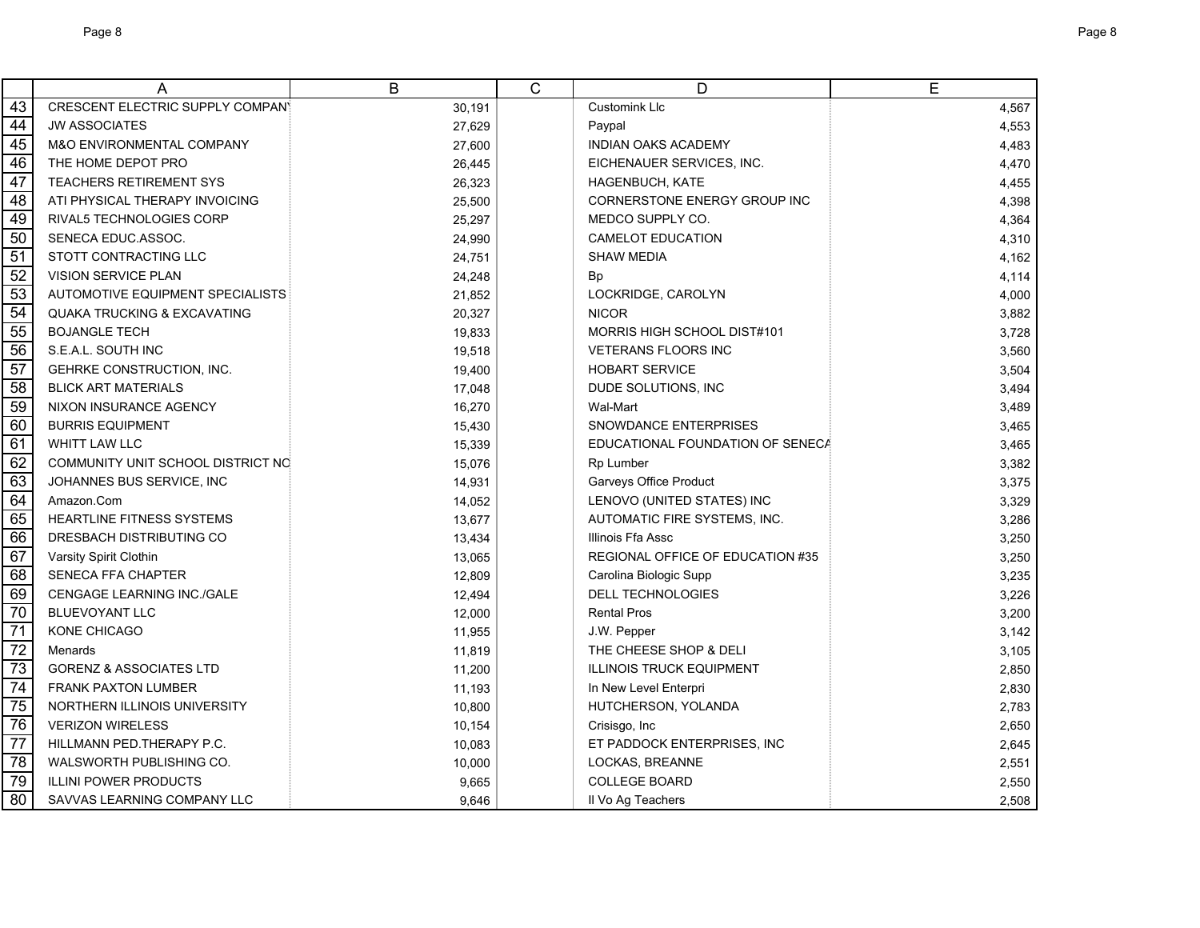|                 | A                                       | $\overline{B}$ | $\overline{C}$ | D                                | E     |
|-----------------|-----------------------------------------|----------------|----------------|----------------------------------|-------|
| 43              | <b>CRESCENT ELECTRIC SUPPLY COMPANY</b> | 30,191         |                | Customink Llc                    | 4,567 |
| 44              | <b>JW ASSOCIATES</b>                    | 27,629         |                | Paypal                           | 4,553 |
| 45              | M&O ENVIRONMENTAL COMPANY               | 27,600         |                | <b>INDIAN OAKS ACADEMY</b>       | 4,483 |
| 46              | THE HOME DEPOT PRO                      | 26,445         |                | EICHENAUER SERVICES, INC.        | 4,470 |
| 47              | <b>TEACHERS RETIREMENT SYS</b>          | 26,323         |                | <b>HAGENBUCH, KATE</b>           | 4,455 |
| $\overline{48}$ | ATI PHYSICAL THERAPY INVOICING          | 25,500         |                | CORNERSTONE ENERGY GROUP INC     | 4,398 |
| 49              | RIVAL5 TECHNOLOGIES CORP                | 25,297         |                | MEDCO SUPPLY CO.                 | 4,364 |
| 50              | SENECA EDUC ASSOC.                      | 24,990         |                | <b>CAMELOT EDUCATION</b>         | 4,310 |
| 51              | STOTT CONTRACTING LLC                   | 24,751         |                | <b>SHAW MEDIA</b>                | 4,162 |
| 52              | <b>VISION SERVICE PLAN</b>              | 24,248         |                | Bp                               | 4,114 |
| 53              | AUTOMOTIVE EQUIPMENT SPECIALISTS        | 21,852         |                | LOCKRIDGE, CAROLYN               | 4,000 |
| 54              | <b>QUAKA TRUCKING &amp; EXCAVATING</b>  | 20,327         |                | <b>NICOR</b>                     | 3,882 |
| 55              | <b>BOJANGLE TECH</b>                    | 19,833         |                | MORRIS HIGH SCHOOL DIST#101      | 3,728 |
| $\overline{56}$ | S.E.A.L. SOUTH INC                      | 19,518         |                | <b>VETERANS FLOORS INC</b>       | 3,560 |
| $\overline{57}$ | <b>GEHRKE CONSTRUCTION, INC.</b>        | 19,400         |                | <b>HOBART SERVICE</b>            | 3,504 |
| $\overline{58}$ | <b>BLICK ART MATERIALS</b>              | 17,048         |                | DUDE SOLUTIONS, INC              | 3,494 |
| 59              | NIXON INSURANCE AGENCY                  | 16,270         |                | Wal-Mart                         | 3,489 |
| 60              | <b>BURRIS EQUIPMENT</b>                 | 15,430         |                | SNOWDANCE ENTERPRISES            | 3,465 |
| 61              | <b>WHITT LAW LLC</b>                    | 15,339         |                | EDUCATIONAL FOUNDATION OF SENECA | 3,465 |
| 62              | COMMUNITY UNIT SCHOOL DISTRICT NO       | 15,076         |                | Rp Lumber                        | 3,382 |
| 63              | JOHANNES BUS SERVICE, INC               | 14,931         |                | Garveys Office Product           | 3,375 |
| 64              | Amazon.Com                              | 14,052         |                | LENOVO (UNITED STATES) INC       | 3,329 |
| 65              | <b>HEARTLINE FITNESS SYSTEMS</b>        | 13,677         |                | AUTOMATIC FIRE SYSTEMS, INC.     | 3,286 |
| 66              | DRESBACH DISTRIBUTING CO                | 13,434         |                | Illinois Ffa Assc                | 3,250 |
| 67              | Varsity Spirit Clothin                  | 13,065         |                | REGIONAL OFFICE OF EDUCATION #35 | 3,250 |
| 68              | SENECA FFA CHAPTER                      | 12,809         |                | Carolina Biologic Supp           | 3,235 |
| 69              | CENGAGE LEARNING INC./GALE              | 12,494         |                | <b>DELL TECHNOLOGIES</b>         | 3,226 |
| 70              | <b>BLUEVOYANT LLC</b>                   | 12,000         |                | <b>Rental Pros</b>               | 3,200 |
| $\overline{71}$ | <b>KONE CHICAGO</b>                     | 11,955         |                | J.W. Pepper                      | 3,142 |
| $\overline{72}$ | Menards                                 | 11,819         |                | THE CHEESE SHOP & DELI           | 3,105 |
| $\overline{73}$ | <b>GORENZ &amp; ASSOCIATES LTD</b>      | 11,200         |                | <b>ILLINOIS TRUCK EQUIPMENT</b>  | 2,850 |
| $\overline{74}$ | <b>FRANK PAXTON LUMBER</b>              | 11,193         |                | In New Level Enterpri            | 2,830 |
| 75              | NORTHERN ILLINOIS UNIVERSITY            | 10,800         |                | HUTCHERSON, YOLANDA              | 2,783 |
| 76              | <b>VERIZON WIRELESS</b>                 | 10,154         |                | Crisisgo, Inc                    | 2,650 |
| $\overline{77}$ | HILLMANN PED THERAPY P.C.               | 10,083         |                | ET PADDOCK ENTERPRISES, INC      | 2,645 |
| 78              | WALSWORTH PUBLISHING CO.                | 10,000         |                | LOCKAS, BREANNE                  | 2,551 |
| 79              | <b>ILLINI POWER PRODUCTS</b>            | 9,665          |                | <b>COLLEGE BOARD</b>             | 2,550 |
| 80              | SAVVAS LEARNING COMPANY LLC             | 9,646          |                | Il Vo Ag Teachers                | 2,508 |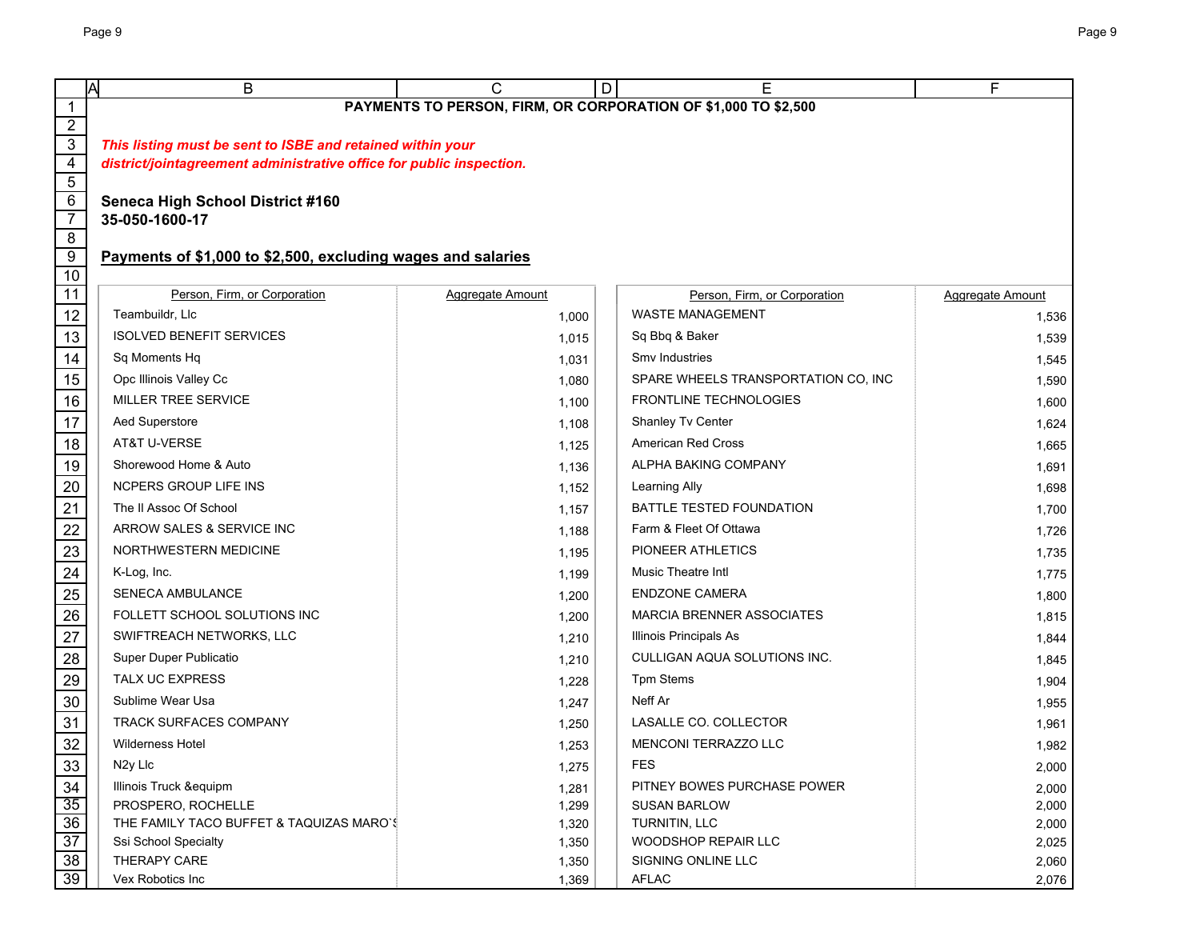|                                  | ΙA<br>B                                                              | C                | D<br>Е                                                         | F                       |
|----------------------------------|----------------------------------------------------------------------|------------------|----------------------------------------------------------------|-------------------------|
| $\mathbf{1}$                     |                                                                      |                  | PAYMENTS TO PERSON, FIRM, OR CORPORATION OF \$1,000 TO \$2,500 |                         |
| $\overline{2}$                   |                                                                      |                  |                                                                |                         |
| $\overline{3}$                   | This listing must be sent to ISBE and retained within your           |                  |                                                                |                         |
| $\overline{4}$<br>$\overline{5}$ | district/jointagreement administrative office for public inspection. |                  |                                                                |                         |
| $\,6\,$                          | <b>Seneca High School District #160</b>                              |                  |                                                                |                         |
| $\overline{7}$                   | 35-050-1600-17                                                       |                  |                                                                |                         |
| $\overline{8}$                   |                                                                      |                  |                                                                |                         |
| $\overline{9}$                   | Payments of \$1,000 to \$2,500, excluding wages and salaries         |                  |                                                                |                         |
| 10                               |                                                                      |                  |                                                                |                         |
| $\overline{11}$                  | Person, Firm, or Corporation                                         | Aggregate Amount | Person, Firm, or Corporation                                   | <b>Aggregate Amount</b> |
| 12                               | Teambuildr, Llc                                                      | 1,000            | <b>WASTE MANAGEMENT</b>                                        | 1,536                   |
| 13                               | <b>ISOLVED BENEFIT SERVICES</b>                                      | 1,015            | Sq Bbq & Baker                                                 | 1,539                   |
| 14                               | Sq Moments Hq                                                        | 1,031            | Smy Industries                                                 | 1,545                   |
| 15                               | Opc Illinois Valley Cc                                               | 1,080            | SPARE WHEELS TRANSPORTATION CO, INC                            | 1,590                   |
| 16                               | MILLER TREE SERVICE                                                  | 1,100            | <b>FRONTLINE TECHNOLOGIES</b>                                  | 1,600                   |
| 17                               | Aed Superstore                                                       | 1,108            | Shanley Tv Center                                              | 1,624                   |
| 18                               | AT&T U-VERSE                                                         | 1,125            | <b>American Red Cross</b>                                      | 1,665                   |
| 19                               | Shorewood Home & Auto                                                | 1,136            | ALPHA BAKING COMPANY                                           | 1,691                   |
| 20                               | <b>NCPERS GROUP LIFE INS</b>                                         | 1,152            | Learning Ally                                                  | 1,698                   |
| 21                               | The II Assoc Of School                                               | 1,157            | <b>BATTLE TESTED FOUNDATION</b>                                | 1,700                   |
| 22                               | ARROW SALES & SERVICE INC                                            | 1,188            | Farm & Fleet Of Ottawa                                         | 1,726                   |
| 23                               | NORTHWESTERN MEDICINE                                                | 1,195            | PIONEER ATHLETICS                                              | 1,735                   |
| 24                               | K-Log, Inc.                                                          | 1,199            | <b>Music Theatre Intl</b>                                      | 1,775                   |
| 25                               | <b>SENECA AMBULANCE</b>                                              | 1,200            | <b>ENDZONE CAMERA</b>                                          | 1,800                   |
| $26\,$                           | FOLLETT SCHOOL SOLUTIONS INC                                         | 1,200            | <b>MARCIA BRENNER ASSOCIATES</b>                               | 1,815                   |
| 27                               | SWIFTREACH NETWORKS, LLC                                             | 1,210            | Illinois Principals As                                         | 1,844                   |
| 28                               | Super Duper Publicatio                                               | 1,210            | CULLIGAN AQUA SOLUTIONS INC.                                   | 1,845                   |
| 29                               | <b>TALX UC EXPRESS</b>                                               | 1,228            | <b>Tpm Stems</b>                                               | 1,904                   |
| 30                               | Sublime Wear Usa                                                     | 1,247            | Neff Ar                                                        | 1,955                   |
| 31                               | <b>TRACK SURFACES COMPANY</b>                                        | 1,250            | LASALLE CO. COLLECTOR                                          | 1,961                   |
| 32                               | <b>Wilderness Hotel</b>                                              | 1,253            | MENCONI TERRAZZO LLC                                           | 1,982                   |
| 33                               | N <sub>2y</sub> Llc                                                  | 1,275            | <b>FES</b>                                                     | 2,000                   |
| 34                               | Illinois Truck &equipm                                               | 1,281            | PITNEY BOWES PURCHASE POWER                                    | 2,000                   |
| 35                               | PROSPERO, ROCHELLE                                                   | 1,299            | <b>SUSAN BARLOW</b>                                            | 2,000                   |
| 36                               | THE FAMILY TACO BUFFET & TAQUIZAS MARO'S                             | 1,320            | TURNITIN, LLC                                                  | 2,000                   |
| $\overline{37}$                  | Ssi School Specialty                                                 | 1,350            | <b>WOODSHOP REPAIR LLC</b>                                     | 2,025                   |
| 38<br>39                         | THERAPY CARE<br>Vex Robotics Inc                                     | 1,350<br>1,369   | SIGNING ONLINE LLC<br><b>AFLAC</b>                             | 2,060<br>2,076          |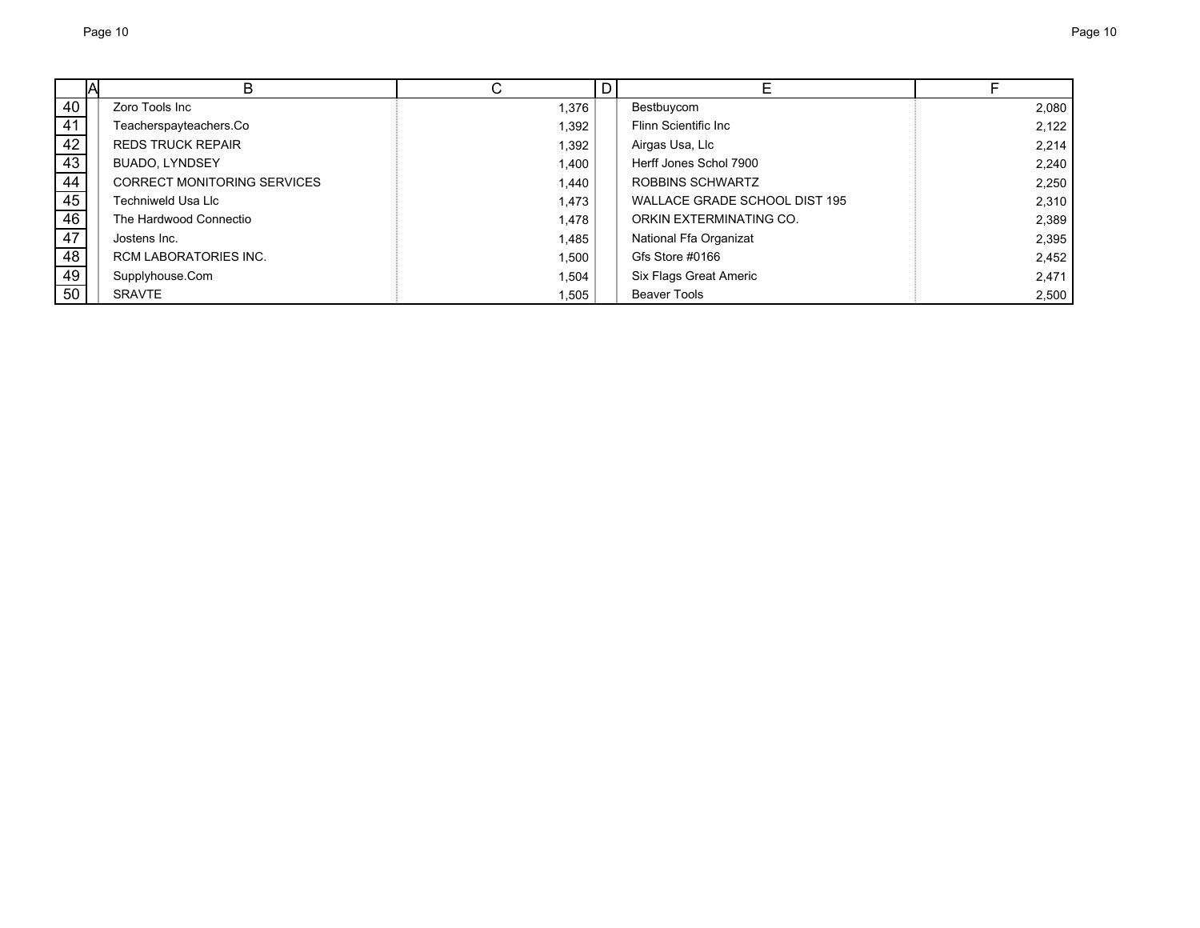|    | В                                  |       | D |                               |       |
|----|------------------------------------|-------|---|-------------------------------|-------|
| 40 | Zoro Tools Inc                     | 1,376 |   | Bestbuycom                    | 2,080 |
| 41 | Teacherspayteachers.Co             | 1,392 |   | Flinn Scientific Inc          | 2,122 |
| 42 | <b>REDS TRUCK REPAIR</b>           | 1,392 |   | Airgas Usa, Llc               | 2.214 |
| 43 | <b>BUADO, LYNDSEY</b>              | 1,400 |   | Herff Jones Schol 7900        | 2,240 |
| 44 | <b>CORRECT MONITORING SERVICES</b> | 1.440 |   | ROBBINS SCHWARTZ              | 2,250 |
| 45 | Techniweld Usa Llc                 | 1.473 |   | WALLACE GRADE SCHOOL DIST 195 | 2,310 |
| 46 | The Hardwood Connectio             | 1.478 |   | ORKIN EXTERMINATING CO.       | 2,389 |
| 47 | Jostens Inc.                       | 1,485 |   | National Ffa Organizat        | 2,395 |
| 48 | <b>RCM LABORATORIES INC.</b>       | 1,500 |   | Gfs Store #0166               | 2,452 |
| 49 | Supplyhouse.Com                    | 1,504 |   | Six Flags Great Americ        | 2,471 |
| 50 | <b>SRAVTE</b>                      | 1,505 |   | <b>Beaver Tools</b>           | 2,500 |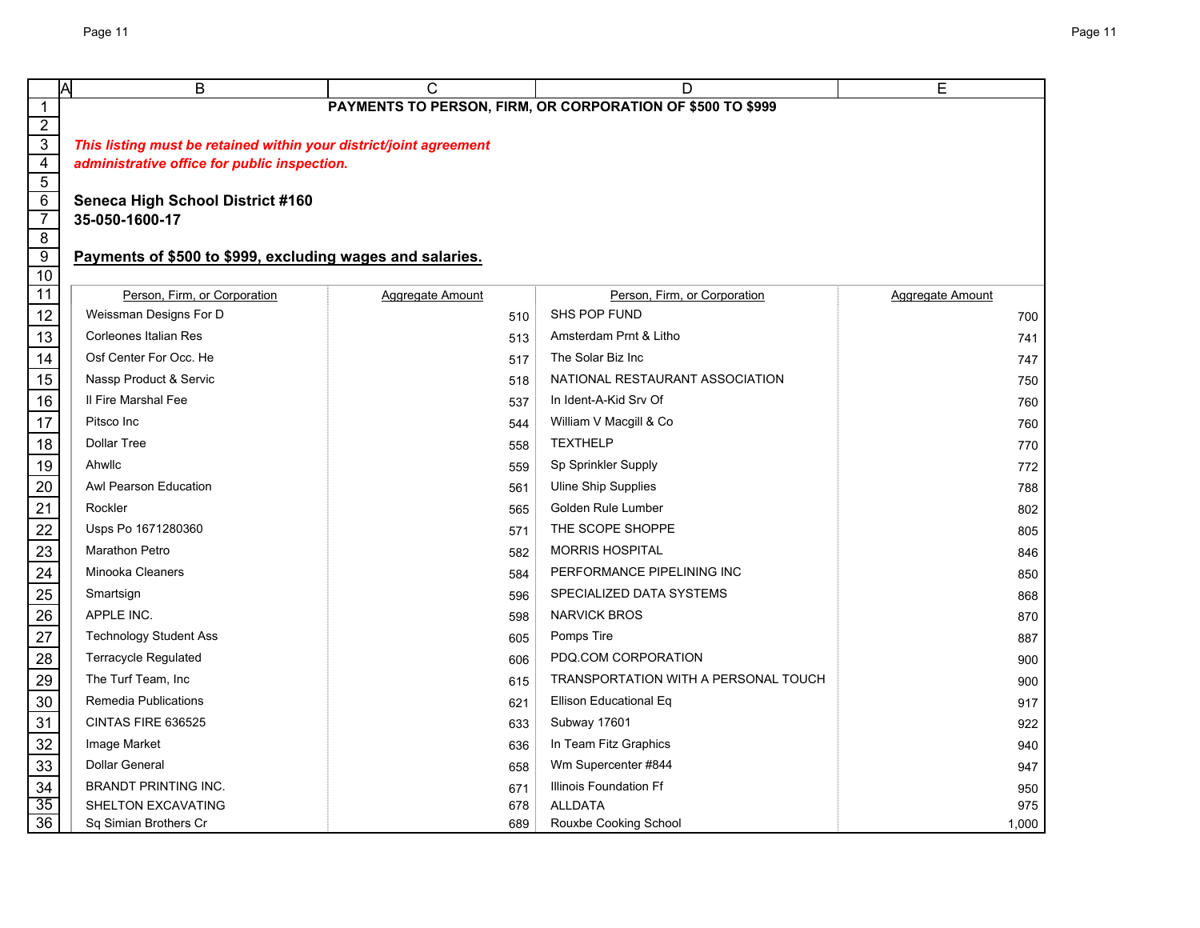|                 | Α<br>B                                                             | С                | D                                                          | E                |
|-----------------|--------------------------------------------------------------------|------------------|------------------------------------------------------------|------------------|
| $\mathbf{1}$    |                                                                    |                  | PAYMENTS TO PERSON, FIRM, OR CORPORATION OF \$500 TO \$999 |                  |
| $\overline{2}$  |                                                                    |                  |                                                            |                  |
| $\overline{3}$  | This listing must be retained within your district/joint agreement |                  |                                                            |                  |
| $\overline{4}$  | administrative office for public inspection.                       |                  |                                                            |                  |
| $\overline{5}$  |                                                                    |                  |                                                            |                  |
| $\frac{6}{7}$   | <b>Seneca High School District #160</b><br>35-050-1600-17          |                  |                                                            |                  |
| $\overline{8}$  |                                                                    |                  |                                                            |                  |
| $\overline{9}$  | Payments of \$500 to \$999, excluding wages and salaries.          |                  |                                                            |                  |
| $\overline{10}$ |                                                                    |                  |                                                            |                  |
| $\overline{11}$ | Person, Firm, or Corporation                                       | Aggregate Amount | Person, Firm, or Corporation                               | Aggregate Amount |
| 12              | Weissman Designs For D                                             | 510              | SHS POP FUND                                               | 700              |
| 13              | <b>Corleones Italian Res</b>                                       | 513              | Amsterdam Prnt & Litho                                     | 741              |
| 14              | Osf Center For Occ. He                                             | 517              | The Solar Biz Inc                                          | 747              |
| 15              | Nassp Product & Servic                                             | 518              | NATIONAL RESTAURANT ASSOCIATION                            | 750              |
| 16              | Il Fire Marshal Fee                                                | 537              | In Ident-A-Kid Srv Of                                      | 760              |
| 17              | Pitsco Inc                                                         | 544              | William V Macgill & Co                                     | 760              |
| 18              | <b>Dollar Tree</b>                                                 | 558              | <b>TEXTHELP</b>                                            | 770              |
| 19              | Ahwllc                                                             | 559              | Sp Sprinkler Supply                                        | 772              |
| 20              | Awl Pearson Education                                              | 561              | <b>Uline Ship Supplies</b>                                 | 788              |
| 21              | Rockler                                                            | 565              | Golden Rule Lumber                                         | 802              |
|                 | Usps Po 1671280360                                                 | 571              | THE SCOPE SHOPPE                                           | 805              |
| 22<br>23        | <b>Marathon Petro</b>                                              | 582              | <b>MORRIS HOSPITAL</b>                                     | 846              |
| $\frac{24}{5}$  | <b>Minooka Cleaners</b>                                            | 584              | PERFORMANCE PIPELINING INC                                 | 850              |
| 25              | Smartsign                                                          | 596              | SPECIALIZED DATA SYSTEMS                                   | 868              |
| 26              | APPLE INC.                                                         | 598              | <b>NARVICK BROS</b>                                        | 870              |
| 27              | <b>Technology Student Ass</b>                                      | 605              | Pomps Tire                                                 | 887              |
| 28              | Terracycle Regulated                                               | 606              | PDQ COM CORPORATION                                        | 900              |
| 29              | The Turf Team, Inc                                                 | 615              | <b>TRANSPORTATION WITH A PERSONAL TOUCH</b>                | 900              |
| 30              | <b>Remedia Publications</b>                                        | 621              | Ellison Educational Eq                                     | 917              |
| 31              | CINTAS FIRE 636525                                                 | 633              | Subway 17601                                               | 922              |
| 32              | Image Market                                                       | 636              | In Team Fitz Graphics                                      | 940              |
| 33              | <b>Dollar General</b>                                              | 658              | Wm Supercenter #844                                        | 947              |
| 34              | <b>BRANDT PRINTING INC.</b>                                        | 671              | <b>Illinois Foundation Ff</b>                              | 950              |
| 35              | SHELTON EXCAVATING                                                 | 678              | <b>ALLDATA</b>                                             | 975              |
| $\overline{36}$ | Sq Simian Brothers Cr                                              | 689              | Rouxbe Cooking School                                      | 1,000            |